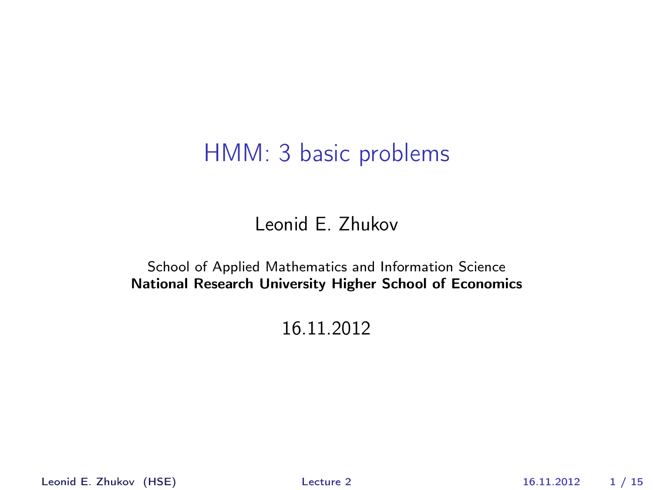### HMM: 3 basic problems

#### Leonid E. Zhukov

#### School of Applied Mathematics and Information Science National Research University Higher School of Economics

#### 16.11.2012

Leonid E. Zhukov (HSE) [Lecture 2](#page-14-0) 16.11.2012 1 / 15

<span id="page-0-0"></span>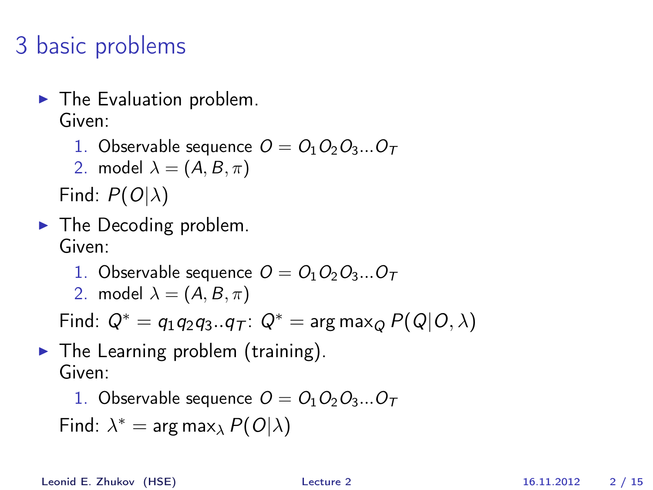# 3 basic problems

- $\blacktriangleright$  The Evaluation problem. Given:
	- 1. Observable sequence  $O = O_1O_2O_3...O_T$

2. model 
$$
\lambda = (A, B, \pi)
$$

Find:  $P(O|\lambda)$ 

- $\blacktriangleright$  The Decoding problem. Given:
	- 1. Observable sequence  $O = O_1O_2O_3...O_T$
	- 2. model  $\lambda = (A, B, \pi)$

Find:  $Q^* = q_1 q_2 q_3 \ldots q_T$ :  $Q^* = \arg \max_Q P(Q|O, \lambda)$ 

 $\blacktriangleright$  The Learning problem (training). Given:

1. Observable sequence  $O = O_1O_2O_3...O_T$ 

Find:  $\lambda^* = \arg \max_{\lambda} P(O|\lambda)$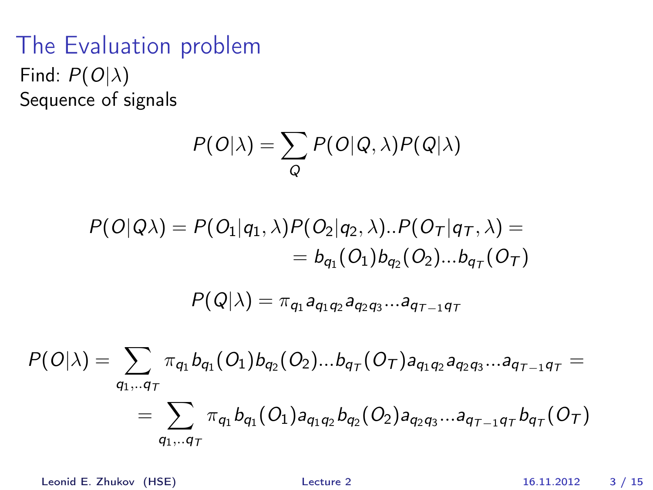#### The Evaluation problem Find:  $P(O|\lambda)$ Sequence of signals

$$
P(O|\lambda) = \sum_{Q} P(O|Q,\lambda)P(Q|\lambda)
$$

$$
P(O|Q\lambda) = P(O_1|q_1, \lambda)P(O_2|q_2, \lambda)..P(O_T|q_T, \lambda) == b_{q_1}(O_1)b_{q_2}(O_2)...b_{q_T}(O_T)
$$

$$
P(Q|\lambda) = \pi_{q_1} a_{q_1q_2} a_{q_2q_3}...a_{q_{T-1}q_T}
$$

$$
P(O|\lambda) = \sum_{q_1,..q_T} \pi_{q_1} b_{q_1}(O_1) b_{q_2}(O_2)...b_{q_T}(O_T) a_{q_1q_2} a_{q_2q_3}...a_{q_{T-1}q_T} = \\ = \sum_{q_1,..q_T} \pi_{q_1} b_{q_1}(O_1) a_{q_1q_2} b_{q_2}(O_2) a_{q_2q_3}...a_{q_{T-1}q_T} b_{q_T}(O_T)
$$

Leonid E. Zhukov (HSE) [Lecture 2](#page-0-0) 16.11.2012 3 / 15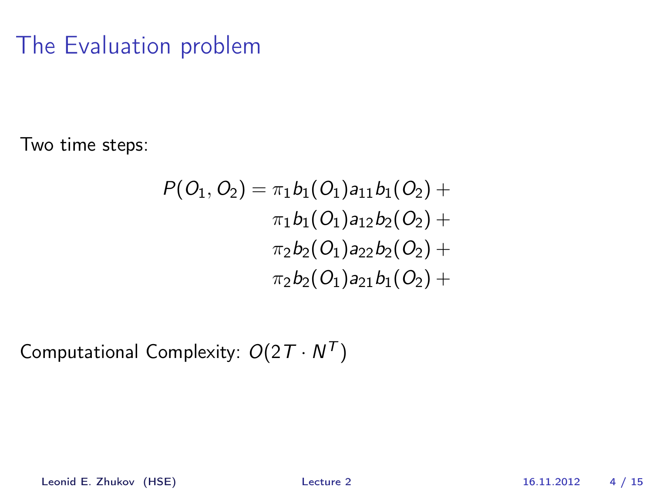## The Evaluation problem

Two time steps:

$$
P(O_1, O_2) = \pi_1 b_1(O_1) a_{11} b_1(O_2) +\n\pi_1 b_1(O_1) a_{12} b_2(O_2) +\n\pi_2 b_2(O_1) a_{22} b_2(O_2) +\n\pi_2 b_2(O_1) a_{21} b_1(O_2) +
$$

Computational Complexity:  $O(2T \cdot N^T)$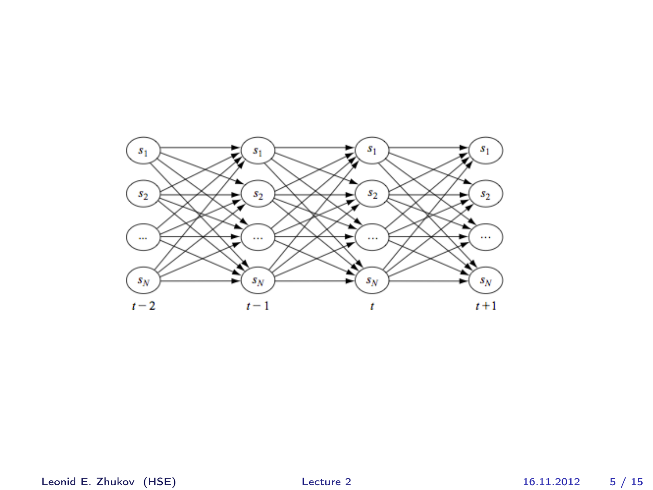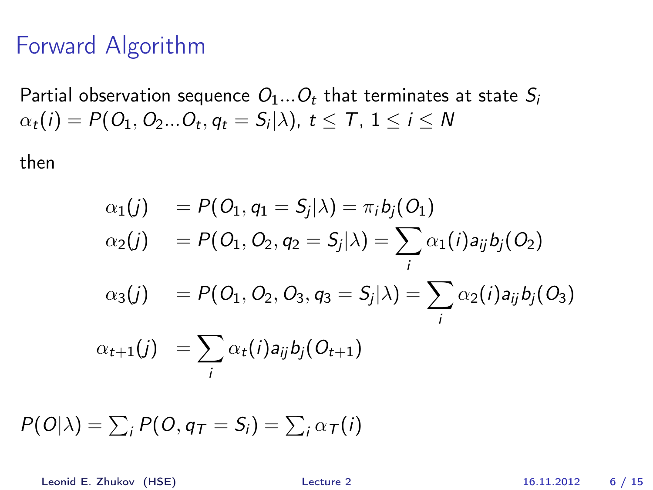#### Forward Algorithm

Partial observation sequence  $O_1...O_t$  that terminates at state  $S_i$  $\alpha_t(i) = P(O_1, O_2...O_t, q_t = S_i | \lambda), t \le T$ ,  $1 \le i \le N$ 

then

$$
\alpha_1(j) = P(O_1, q_1 = S_j | \lambda) = \pi_i b_j(O_1)
$$
  
\n
$$
\alpha_2(j) = P(O_1, O_2, q_2 = S_j | \lambda) = \sum_i \alpha_1(i) a_{ij} b_j(O_2)
$$
  
\n
$$
\alpha_3(j) = P(O_1, O_2, O_3, q_3 = S_j | \lambda) = \sum_i \alpha_2(i) a_{ij} b_j(O_3)
$$
  
\n
$$
\alpha_{t+1}(j) = \sum_i \alpha_t(i) a_{ij} b_j(O_{t+1})
$$

 $P(O|\lambda) = \sum_i P(O, q_T = S_i) = \sum_i \alpha_T(i)$ 

Leonid E. Zhukov (HSE) [Lecture 2](#page-0-0) 16.11.2012 6 / 15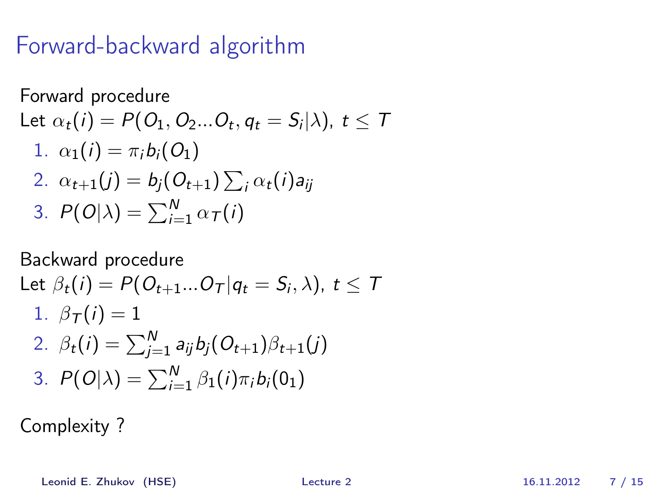## Forward-backward algorithm

Forward procedure  
\nLet 
$$
\alpha_t(i) = P(O_1, O_2...O_t, q_t = S_i | \lambda)
$$
,  $t \le T$   
\n1.  $\alpha_1(i) = \pi_i b_i(O_1)$   
\n2.  $\alpha_{t+1}(j) = b_j(O_{t+1}) \sum_i \alpha_t(i) a_{ij}$   
\n3.  $P(O|\lambda) = \sum_{i=1}^N \alpha_i(i)$ 

Backward procedure  
\nLet 
$$
\beta_t(i) = P(O_{t+1}...O_T | q_t = S_i, \lambda)
$$
,  $t \le T$   
\n1.  $\beta_T(i) = 1$   
\n2.  $\beta_t(i) = \sum_{j=1}^N a_{ij} b_j(O_{t+1})\beta_{t+1}(j)$   
\n3.  $P(O|\lambda) = \sum_{i=1}^N \beta_1(i)\pi_i b_i(0_1)$ 

Complexity ?

Leonid E. Zhukov (HSE) [Lecture 2](#page-0-0) 16.11.2012 7 / 15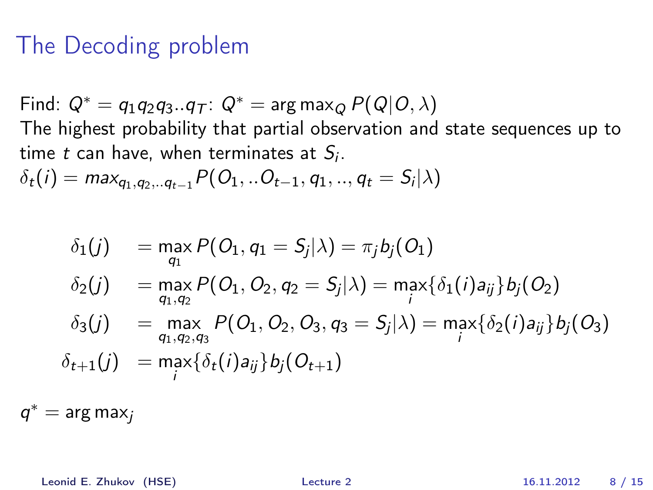### The Decoding problem

Find:  $Q^* = q_1q_2q_3...q_T$ :  $Q^* = \arg \max_Q P(Q|O, \lambda)$ The highest probability that partial observation and state sequences up to time  $t$  can have, when terminates at  $\mathcal{S}_i.$  $\delta_t(i) = \max_{q_1, q_2,..q_{t-1}} P(O_1,..O_{t-1}, q_1,..,q_t = S_i | \lambda)$ 

$$
\delta_1(j) = \max_{q_1} P(O_1, q_1 = S_j | \lambda) = \pi_j b_j(O_1)
$$
  
\n
$$
\delta_2(j) = \max_{q_1, q_2} P(O_1, O_2, q_2 = S_j | \lambda) = \max_{i} \{ \delta_1(i) a_{ij} \} b_j(O_2)
$$
  
\n
$$
\delta_3(j) = \max_{q_1, q_2, q_3} P(O_1, O_2, O_3, q_3 = S_j | \lambda) = \max_{i} \{ \delta_2(i) a_{ij} \} b_j(O_3)
$$
  
\n
$$
\delta_{t+1}(j) = \max_{i} \{ \delta_t(i) a_{ij} \} b_j(O_{t+1})
$$

 $q^* = \arg \max_j$ 

Leonid E. Zhukov (HSE) [Lecture 2](#page-0-0) 16.11.2012 8 / 15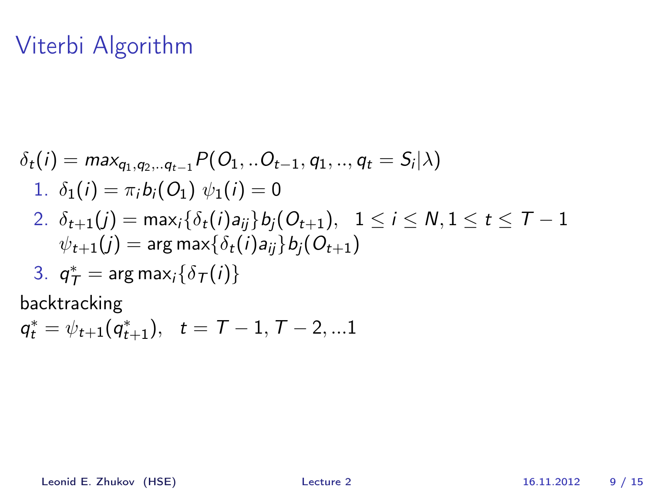## Viterbi Algorithm

$$
\delta_{t}(i) = max_{q_{1},q_{2},..q_{t-1}} P(O_{1},..O_{t-1}, q_{1},..,q_{t}=S_{i}|\lambda)
$$
  
\n1. 
$$
\delta_{1}(i) = \pi_{i}b_{i}(O_{1}) \psi_{1}(i) = 0
$$
  
\n2. 
$$
\delta_{t+1}(j) = \max_{i} {\delta_{t}(i)a_{ij} \} b_{j}(O_{t+1}), \quad 1 \leq i \leq N, 1 \leq t \leq T-1
$$
  
\n
$$
\psi_{t+1}(j) = \arg \max \{\delta_{t}(i)a_{ij}\} b_{j}(O_{t+1})
$$
  
\n3. 
$$
q_{T}^{*} = \arg \max_{i} {\delta_{T}(i)}
$$
  
\nbacktracking

$$
q_t^* = \psi_{t+1}(q_{t+1}^*), \quad t = \mathcal{T} - 1, \, \mathcal{T} - 2, \ldots
$$

Leonid E. Zhukov (HSE) [Lecture 2](#page-0-0) 16.11.2012 9 / 15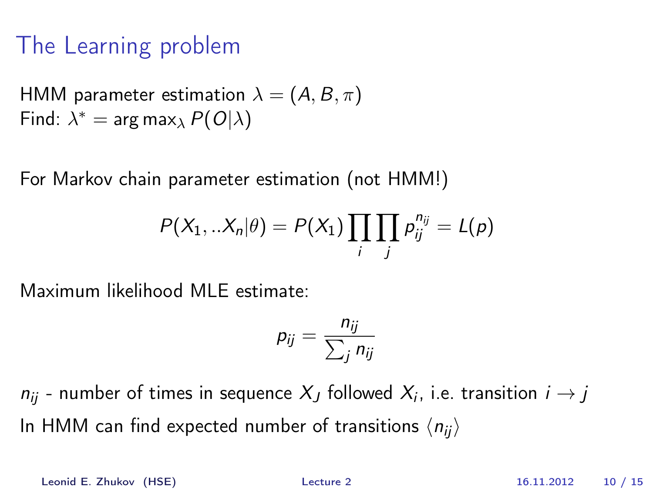## The Learning problem

HMM parameter estimation  $\lambda = (A, B, \pi)$ Find:  $\lambda^* = \argmax_{\lambda} P(O|\lambda)$ 

For Markov chain parameter estimation (not HMM!)

$$
P(X_1,..X_n|\theta) = P(X_1) \prod_i \prod_j p_{ij}^{n_{ij}} = L(p)
$$

Maximum likelihood MLE estimate:

$$
p_{ij}=\frac{n_{ij}}{\sum_j n_{ij}}
$$

 $n_{ij}$  - number of times in sequence  $X_J$  followed  $X_i$ , i.e. transition  $i\rightarrow j$ In HMM can find expected number of transitions  $\langle n_{ii} \rangle$ 

Leonid E. Zhukov (HSE) [Lecture 2](#page-0-0) 16.11.2012 10 / 15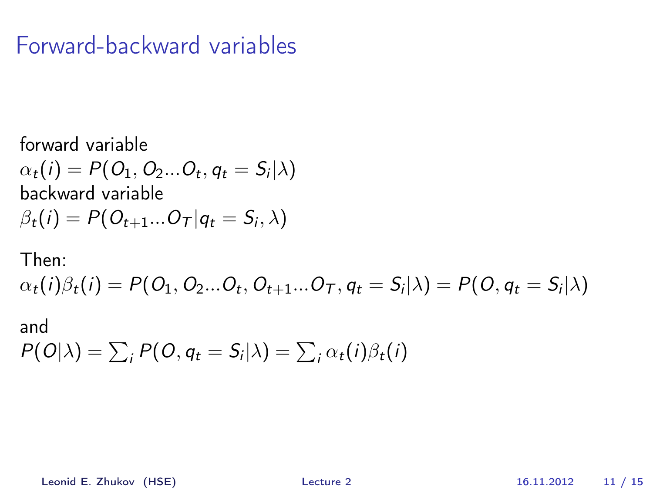#### Forward-backward variables

forward variable  $\alpha_t(i) = P(O_1, O_2...O_t, q_t = S_i | \lambda)$ backward variable  $\beta_t(i) = P(O_{t+1}...O_{\mathcal{T}}|q_t = S_i, \lambda)$ 

## Then:  $\alpha_t(i)\beta_t(i) = P(O_1, O_2...O_t, O_{t+1}...O_{\mathcal{T}}, q_t = S_i|\lambda) = P(O, q_t = S_i|\lambda)$

#### and  $P(O|\lambda) = \sum_i P(O, q_t = S_i | \lambda) = \sum_i \alpha_t(i) \beta_t(i)$

Leonid E. Zhukov (HSE) [Lecture 2](#page-0-0) 16.11.2012 11 / 15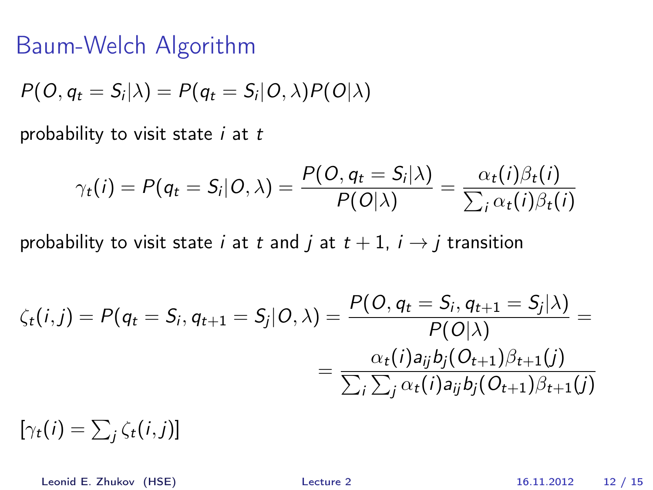#### Baum-Welch Algorithm

$$
P(O, q_t = S_i | \lambda) = P(q_t = S_i | O, \lambda) P(O | \lambda)
$$

probability to visit state  $i$  at  $t$ 

$$
\gamma_t(i) = P(q_t = S_i | O, \lambda) = \frac{P(O, q_t = S_i | \lambda)}{P(O | \lambda)} = \frac{\alpha_t(i) \beta_t(i)}{\sum_i \alpha_t(i) \beta_t(i)}
$$

probability to visit state *i* at *t* and *j* at  $t + 1$ ,  $i \rightarrow j$  transition

$$
\zeta_t(i,j) = P(q_t = S_i, q_{t+1} = S_j | O, \lambda) = \frac{P(O, q_t = S_i, q_{t+1} = S_j | \lambda)}{P(O | \lambda)} = \\ = \frac{\alpha_t(i)a_{ij}b_j(O_{t+1})\beta_{t+1}(j)}{\sum_i \sum_j \alpha_t(i)a_{ij}b_j(O_{t+1})\beta_{t+1}(j)}
$$

 $[\gamma_t(i) = \sum_j \zeta_t(i,j)]$ 

Leonid E. Zhukov (HSE) [Lecture 2](#page-0-0) 16.11.2012 12 / 15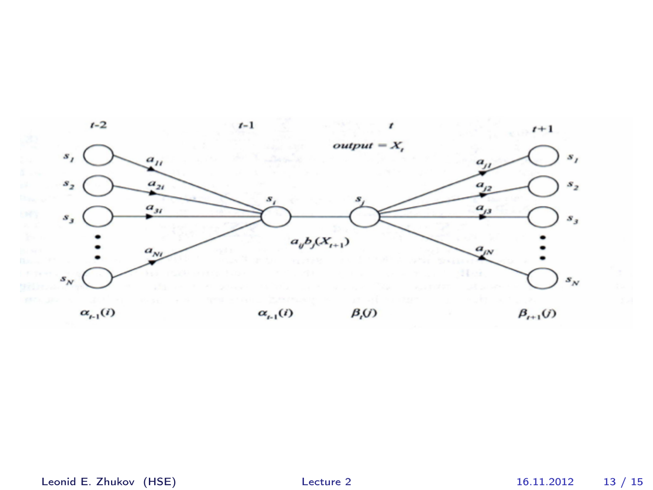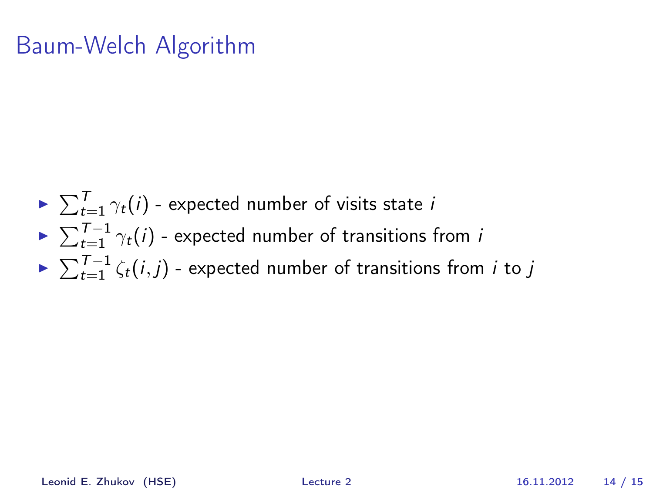### Baum-Welch Algorithm

- $\blacktriangleright \sum_{t=1}^T \gamma_t(i)$  expected number of visits state  $i$
- $\blacktriangleright \sum_{t=1}^{T-1} \gamma_t(i)$  expected number of transitions from *i*
- $\blacktriangleright \sum_{t=1}^{T-1} \zeta_t(i,j)$  expected number of transitions from *i* to *j*